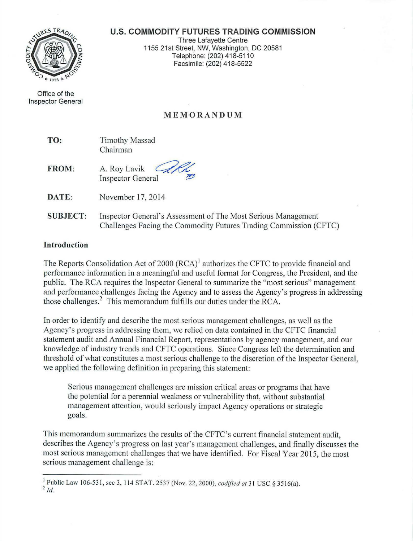#### **U.S. COMMODITY FUTURES TRADING COMMISSION**



Office of the Inspector General

Three Lafayette Centre 1155 21st Street, NW, Washington, DC 20581 Telephone: (202) 418-511 0 Facsimile: (202) 418-5522

# **M E MOR A NDU M**

| TO: | <b>Timothy Massad</b> |
|-----|-----------------------|
|     | Chairman              |

**FROM:**  A. Roy Lavik **Inspector General** 

**DATE:**  November 17, 2014

**SUBJECT:**  Inspector General's Assessment of The Most Serious Management Challenges Facing the Commodity Futures Trading Commission (CFTC)

# **Introduction**

The Reports Consolidation Act of 2000 (RCA)<sup>1</sup> authorizes the CFTC to provide financial and performance information in a meaningful and useful format for Congress, the President, and the p ublic. The RCA requires the Inspector General to summarize the "most serious" management and performance challenges facing the Agency and to assess the Agency's progress in addressing those challenges.<sup>2</sup> This memorandum fulfills our duties under the RCA.

In order to identify and describe the most serious management challenges, as well as the Agency's progress in addressing them, we relied on data contained in the CFTC financial statement audit and Annual Financial Report, representations by agency management, and our knowledge of industry trends and CFTC operations. Since Congress left the determination and threshold of what constitutes a most serious challenge to the discretion of the Inspector General, we applied the following definition in preparing this statement:

Serious management challenges are mission critical areas or programs that have the potential for a perennial weakness or vulnerability that, without substantial management attention, would seriously impact Agency operations or strategic goals.

This memorandum summarizes the results of the CFTC's current financial statement audit, describes the Agency's progress on last year's management challenges, and finally discusses the most serious management challenges that we have identified. For Fiscal Year 2015, the most serious management challenge is:

<sup>&</sup>lt;sup>1</sup> Public Law 106-531, sec 3, 114 STAT. 2537 (Nov. 22, 2000), *codified at* 31 USC § 3516(a).  $2$   $ld$ .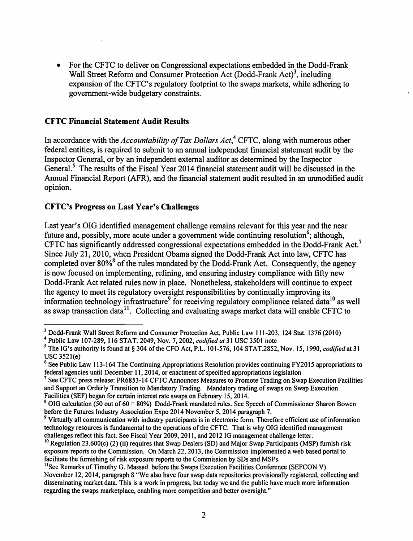• For the CFTC to deliver on Congressional expectations embedded in the Dodd-Frank Wall Street Reform and Consumer Protection Act (Dodd-Frank Act)<sup>3</sup>, including expansion of the CFTC's regulatory footprint to the swaps markets, while adhering to government-wide budgetary constraints.

## CFTC Financial Statement Audit Results

In accordance with the *Accountability of Tax Dollars Act*,<sup>4</sup> CFTC, along with numerous other federal entities, is required to submit to an annual independent financial statement audit by the Inspector General, or by an independent external auditor as determined by the Inspector General.<sup>5</sup> The results of the Fiscal Year 2014 financial statement audit will be discussed in the Annual Financial Report (AFR), and the financial statement audit resulted in an unmodified audit opinion.

# CFTC's Progress on Last Year's Challenges

Last year's OIG identified management challenge remains relevant for this year and the near future and, possibly, more acute under a government wide continuing resolution<sup>6</sup>; although, CFTC has significantly addressed congressional expectations embedded in the Dodd-Frank Act.<sup>7</sup> Since July 21,2010, when President Obama signed the Dodd-Frank Act into law, CFTC has completed over 80%<sup>8</sup> of the rules mandated by the Dodd-Frank Act. Consequently, the agency is now focused on implementing, refining, and ensuring industry compliance with fifty new Dodd-Frank Act related rules now in place. Nonetheless, stakeholders will continue to expect the agency to meet its regulatory oversight responsibilities by continually improving its information technology infrastructure<sup>9</sup> for receiving regulatory compliance related data<sup>10</sup> as well as swap transaction data<sup>11</sup>. Collecting and evaluating swaps market data will enable CFTC to

<sup>3</sup> Dodd-Frank Wall Street Reform and Consumer Protection Act, Public Law 111-203, 124 Stat. I376 (2010)

<sup>4</sup> Public Law I07-289, 116 STAT. 2049, Nov. 7, 2002, *codified at* 31 USC 3501 note

*<sup>5</sup>*The IG's authority is found at§ 304 ofthe CFO Act, P.L. 101-576, 104 STAT.2852, Nov. 15, 1990, *codified* at 3I USC 352l(e)

<sup>&</sup>lt;sup>6</sup> See Public Law 113-164 The Continuing Appropriations Resolution provides continuing FY2015 appropriations to federal agencies until December 11, 2014, or enactment of specified appropriations legislation

<sup>&</sup>lt;sup>7</sup> See CFTC press release: PR6853-14 CFTC Announces Measures to Promote Trading on Swap Execution Facilities and Support an Orderly Transition to Mandatory Trading. Mandatory trading of swaps on Swap Execution Facilities (SEF) began for certain interest rate swaps on February 15,2014.

<sup>&</sup>lt;sup>8</sup> OIG calculation (50 out of  $60 = 80\%$ ) Dodd-Frank mandated rules. See Speech of Commissioner Sharon Bowen before the Futures Industry Association Expo 2014 November 5, 2014 paragraph 7.<br><sup>9</sup> Virtually all communication with industry participants is in electronic form. Therefore efficient use of information

technology resources is fundamental to the operations of the CFTC. That is why OIG identified management challenges reflect this fact. See Fiscal Year 2009, 2011, and 2012 IG management challenge letter.

<sup>&</sup>lt;sup>10</sup> Regulation 23.600(c) (2) (ii) requires that Swap Dealers (SD) and Major Swap Participants (MSP) furnish risk exposure reports to the Commission. On March 22, 2013, the Commission implemented a web based portal to facilitate the furnishing of risk exposure reports to the Commission by SDs and MSPs.

<sup>&</sup>lt;sup>11</sup>See Remarks of Timothy G. Massad before the Swaps Execution Facilities Conference (SEFCON V) November 12,2014, paragraph 8 "We also have four swap data repositories provisionally registered, collecting and disseminating market data. This is a work in progress, but today we and the public have much more information regarding the swaps marketplace, enabling more competition and better oversight."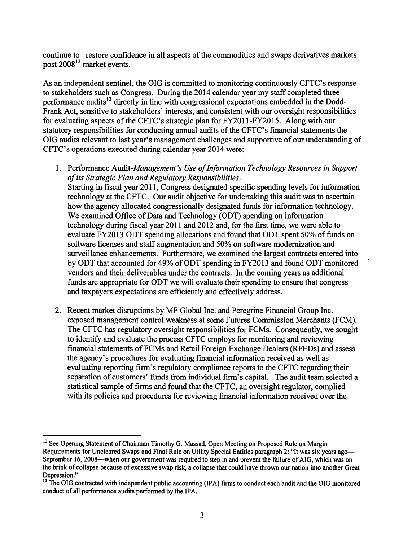continue to restore confidence in all aspects of the commodities and swaps derivatives markets post  $2008^{12}$  market events.

As an independent sentinel, the OIG is committed to monitoring continuously CFTC's response to stakeholders such as Congress. During the 2014 calendar year my staff completed three performance audits<sup>13</sup> directly in line with congressional expectations embedded in the Dodd-Frank Act, sensitive to stakeholders' interests, and consistent with our oversight responsibilities for evaluating aspects of the CFTC's strategic plan for FY2011-FY2015. Along with our statutory responsibilities for conducting annual audits of the CFTC's financial statements the OIG audits relevant to last year's management challenges and supportive of our understanding of CFTC's operations executed during calendar year 2014 were:

- 1. Performance *Audit-Management's Use of Information Technology Resources in Support of its Strategic Plan and Regulatory Responsibilities.*  Starting in fiscal year 2011, Congress designated specific spending levels for information technology at the CFTC. Our audit objective for undertaking this audit was to ascertain how the agency allocated congressionally designated funds for information technology. We examined Office of Data and Technology (ODT) spending on information technology during fiscal year 2011 and 2012 and, for the first time, we were able to evaluate FY2013 ODT spending allocations and found that ODT spent 50% of funds on software licenses and staff augmentation and 50% on software modernization and surveillance enhancements. Furthermore, we examined the largest contracts entered into by ODT that accounted for 49% of ODT spending in FY2013 and found ODT monitored vendors and their deliverables under the contracts. In the coming years as additional funds are appropriate for ODT we will evaluate their spending to ensure that congress and taxpayers expectations are efficiently and effectively address.
- 2. Recent market disruptions by MF Global Inc. and Peregrine Financial Group Inc. exposed management control weakness at some Futures Commission Merchants (FCM). The CFTC has regulatory oversight responsibilities for FCMs. Consequently, we sought to identify and evaluate the process CFTC employs for monitoring and reviewing financial statements of FCMs and Retail Foreign Exchange Dealers (RFEDs) and assess the agency's procedures for evaluating financial information received as well as evaluating reporting firm's regulatory compliance reports to the CFTC regarding their separation of customers' funds from individual firm's capital. The audit team selected a statistical sample of firms and found that the CFTC, an oversight regulator, complied with its policies and procedures for reviewing financial information received over the

<sup>&</sup>lt;sup>12</sup> See Opening Statement of Chairman Timothy G. Massad, Open Meeting on Proposed Rule on Margin Requirements for Uncleared Swaps and Final Rule on Utility Special Entities paragraph 2: "It was six years ago-September 16, 2008-when our government was required to step in and prevent the failure of AIG, which was on the brink of collapse because of excessive swap risk, a collapse that could have thrown our nation into another Great Depression."

<sup>&</sup>lt;sup>13</sup> The OIG contracted with independent public accounting (IPA) firms to conduct each audit and the OIG monitored conduct of all performance audits performed by the IPA.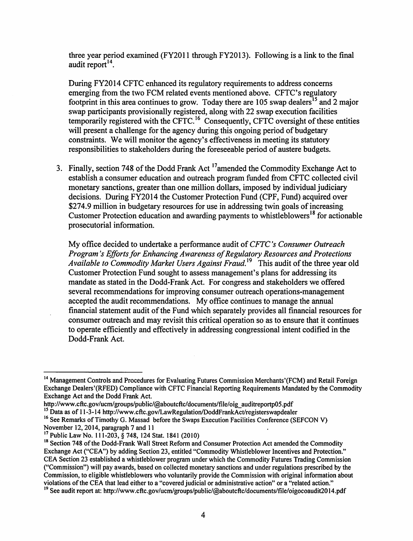three year period examined (FY2011 through FY2013). Following is a link to the final audit report $^{14}$ .

During FY2014 CFTC enhanced its regulatory requirements to address concerns emerging from the two FCM related events mentioned above. CFTC's regulatory footprint in this area continues to grow. Today there are 105 swap dealers<sup>15</sup> and 2 major swap participants provisionally registered, along with 22 swap execution facilities temporarily registered with the CFTC.<sup>16</sup> Consequently, CFTC oversight of these entities will present a challenge for the agency during this ongoing period of budgetary constraints. We will monitor the agency's effectiveness in meeting its statutory responsibilities to stakeholders during the foreseeable period of austere budgets.

3. Finally, section 748 of the Dodd Frank Act <sup>17</sup>amended the Commodity Exchange Act to establish a consumer education and outreach program funded from CFTC collected civil monetary sanctions, greater than one million dollars, imposed by individual judiciary decisions. During FY20 14 the Customer Protection Fund (CPF, Fund) acquired over \$274.9 million in budgetary resources for use in addressing twin goals of increasing Customer Protection education and awarding payments to whistleblowers<sup>18</sup> for actionable prosecutorial information.

My office decided to undertake a performance audit of *CFTC 's Consumer Outreach Program's Efforts for Enhancing Awareness of Regulatory Resources and Protections Available to Commodity Market Users Against Fraud.*<sup>19</sup> This audit of the three year old Customer Protection Fund sought to assess management's plans for addressing its mandate as stated in the Dodd-Frank Act. For congress and stakeholders we offered several recommendations for improving consumer outreach operations-management accepted the audit recommendations. My office continues to manage the annual financial statement audit of the Fund which separately provides all financial resources for consumer outreach and may revisit this critical operation so as to ensure that it continues to operate efficiently and effectively in addressing congressional intent codified in the Dodd-Frank Act.

<sup>&</sup>lt;sup>14</sup> Management Controls and Procedures for Evaluating Futures Commission Merchants'(FCM) and Retail Foreign Exchange Dealers'(RFED) Compliance with CFTC Financial Reporting Requirements Mandated by the Commodity Exchange Act and the Dodd Frank Act.

http://www.cftc.gov/ucm/groups/public/@aboutcftc/documents/file/oig\_auditreportp05.pdf<br><sup>15</sup> Data as of 11-3-14 http://www.cftc.gov/LawRegulation/DoddFrankAct/registerswapdealer

<sup>&</sup>lt;sup>16</sup> See Remarks of Timothy G. Massad before the Swaps Execution Facilities Conference (SEFCON V) November 12, 2014, paragraph 7 and 11<br><sup>17</sup> Public Law No. 111-203, § 748, 124 Stat. 1841 (2010)

<sup>&</sup>lt;sup>18</sup> Section 748 of the Dodd-Frank Wall Street Reform and Consumer Protection Act amended the Commodity Exchange Act ("CEA") by adding Section 23, entitled "Commodity Whistleblower Incentives and Protection." CEA Section 23 established a whistleblower program under which the Commodity Futures Trading Commission ("Commission") will pay awards, based on collected monetary sanctions and under regulations prescribed by the Commission, to eligible whistleblowers who voluntarily provide the Commission with original information about violations of the CEA that lead either to a "covered judicial or administrative action" or a "related action."

<sup>&</sup>lt;sup>19</sup> See audit report at: http://www.cftc.gov/ucm/groups/public/@aboutcftc/documents/file/oigocoaudit2014.pdf